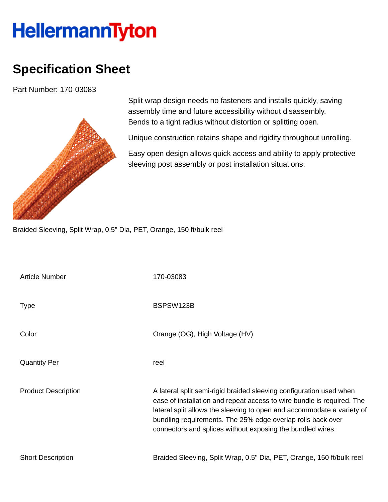## HellermannTyton

## **Specification Sheet**

Part Number: 170-03083



Split wrap design needs no fasteners and installs quickly, saving assembly time and future accessibility without disassembly. Bends to a tight radius without distortion or splitting open.

Unique construction retains shape and rigidity throughout unrolling.

Easy open design allows quick access and ability to apply protective sleeving post assembly or post installation situations.

Braided Sleeving, Split Wrap, 0.5" Dia, PET, Orange, 150 ft/bulk reel

| <b>Article Number</b>      | 170-03083                                                                                                                                                                                                                                                                                                                                            |
|----------------------------|------------------------------------------------------------------------------------------------------------------------------------------------------------------------------------------------------------------------------------------------------------------------------------------------------------------------------------------------------|
| Type                       | BSPSW123B                                                                                                                                                                                                                                                                                                                                            |
| Color                      | Orange (OG), High Voltage (HV)                                                                                                                                                                                                                                                                                                                       |
| <b>Quantity Per</b>        | reel                                                                                                                                                                                                                                                                                                                                                 |
| <b>Product Description</b> | A lateral split semi-rigid braided sleeving configuration used when<br>ease of installation and repeat access to wire bundle is required. The<br>lateral split allows the sleeving to open and accommodate a variety of<br>bundling requirements. The 25% edge overlap rolls back over<br>connectors and splices without exposing the bundled wires. |
| <b>Short Description</b>   | Braided Sleeving, Split Wrap, 0.5" Dia, PET, Orange, 150 ft/bulk reel                                                                                                                                                                                                                                                                                |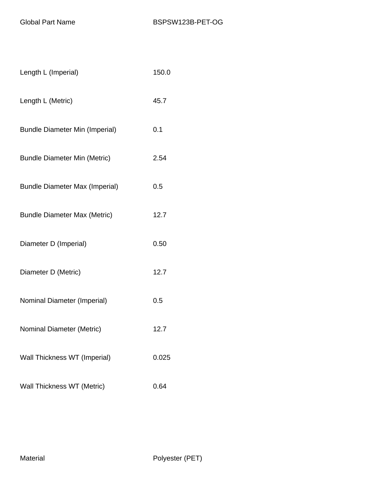| Length L (Imperial)                   | 150.0 |
|---------------------------------------|-------|
| Length L (Metric)                     | 45.7  |
| <b>Bundle Diameter Min (Imperial)</b> | 0.1   |
| <b>Bundle Diameter Min (Metric)</b>   | 2.54  |
| <b>Bundle Diameter Max (Imperial)</b> | 0.5   |
| <b>Bundle Diameter Max (Metric)</b>   | 12.7  |
| Diameter D (Imperial)                 | 0.50  |
| Diameter D (Metric)                   | 12.7  |
| Nominal Diameter (Imperial)           | 0.5   |
| Nominal Diameter (Metric)             | 12.7  |
| Wall Thickness WT (Imperial)          | 0.025 |
| Wall Thickness WT (Metric)            | 0.64  |